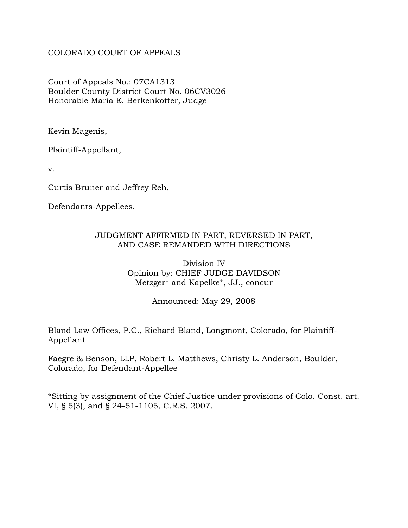### Court of Appeals No.: 07CA1313 Boulder County District Court No. 06CV3026 Honorable Maria E. Berkenkotter, Judge

Kevin Magenis,

Plaintiff-Appellant,

v.

Curtis Bruner and Jeffrey Reh,

Defendants-Appellees.

### JUDGMENT AFFIRMED IN PART, REVERSED IN PART, AND CASE REMANDED WITH DIRECTIONS

Division IV Opinion by: CHIEF JUDGE DAVIDSON Metzger\* and Kapelke\*, JJ., concur

Announced: May 29, 2008

Bland Law Offices, P.C., Richard Bland, Longmont, Colorado, for Plaintiff-Appellant

Faegre & Benson, LLP, Robert L. Matthews, Christy L. Anderson, Boulder, Colorado, for Defendant-Appellee

\*Sitting by assignment of the Chief Justice under provisions of Colo. Const. art. VI, § 5(3), and § 24-51-1105, C.R.S. 2007.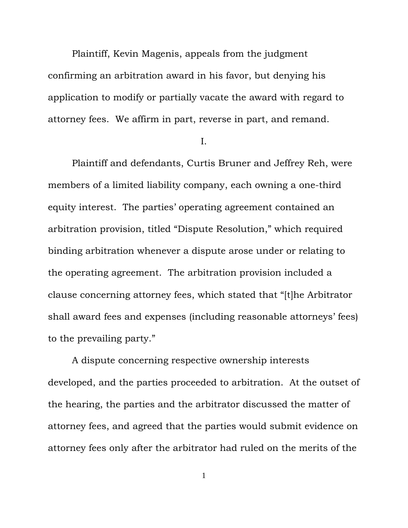Plaintiff, Kevin Magenis, appeals from the judgment confirming an arbitration award in his favor, but denying his application to modify or partially vacate the award with regard to attorney fees. We affirm in part, reverse in part, and remand.

I.

Plaintiff and defendants, Curtis Bruner and Jeffrey Reh, were members of a limited liability company, each owning a one-third equity interest. The parties' operating agreement contained an arbitration provision, titled "Dispute Resolution," which required binding arbitration whenever a dispute arose under or relating to the operating agreement. The arbitration provision included a clause concerning attorney fees, which stated that "[t]he Arbitrator shall award fees and expenses (including reasonable attorneys' fees) to the prevailing party."

 A dispute concerning respective ownership interests developed, and the parties proceeded to arbitration. At the outset of the hearing, the parties and the arbitrator discussed the matter of attorney fees, and agreed that the parties would submit evidence on attorney fees only after the arbitrator had ruled on the merits of the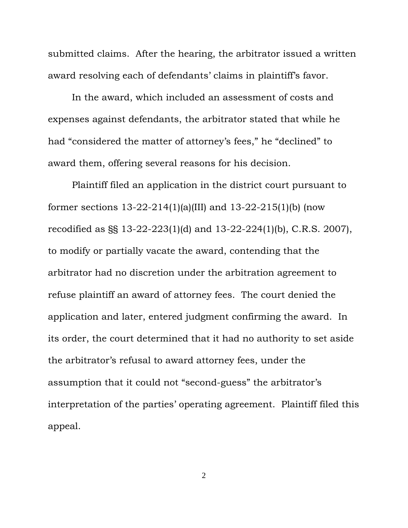submitted claims. After the hearing, the arbitrator issued a written award resolving each of defendants' claims in plaintiff's favor.

In the award, which included an assessment of costs and expenses against defendants, the arbitrator stated that while he had "considered the matter of attorney's fees," he "declined" to award them, offering several reasons for his decision.

Plaintiff filed an application in the district court pursuant to former sections 13-22-214(1)(a)(III) and 13-22-215(1)(b) (now recodified as §§ 13-22-223(1)(d) and 13-22-224(1)(b), C.R.S. 2007), to modify or partially vacate the award, contending that the arbitrator had no discretion under the arbitration agreement to refuse plaintiff an award of attorney fees. The court denied the application and later, entered judgment confirming the award. In its order, the court determined that it had no authority to set aside the arbitrator's refusal to award attorney fees, under the assumption that it could not "second-guess" the arbitrator's interpretation of the parties' operating agreement. Plaintiff filed this appeal.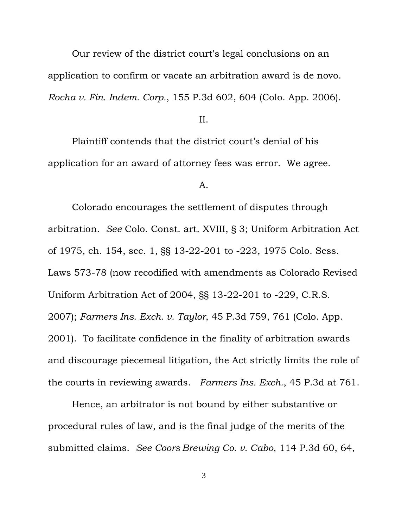Our review of the district court's legal conclusions on an application to confirm or vacate an arbitration award is de novo. *Rocha v. Fin. Indem. Corp.*, 155 P.3d 602, 604 (Colo. App. 2006).

II.

Plaintiff contends that the district court's denial of his application for an award of attorney fees was error. We agree.

#### A.

Colorado encourages the settlement of disputes through arbitration. *See* Colo. Const. art. XVIII, § 3; Uniform Arbitration Act of 1975, ch. 154, sec. 1, §§ 13-22-201 to -223, 1975 Colo. Sess. Laws 573-78 (now recodified with amendments as Colorado Revised Uniform Arbitration Act of 2004, §§ 13-22-201 to -229, C.R.S. 2007); *Farmers Ins. Exch. v. Taylor*, 45 P.3d 759, 761 (Colo. App. 2001). To facilitate confidence in the finality of arbitration awards and discourage piecemeal litigation, the Act strictly limits the role of the courts in reviewing awards. *Farmers Ins. Exch.*, 45 P.3d at 761.

Hence, an arbitrator is not bound by either substantive or procedural rules of law, and is the final judge of the merits of the submitted claims. *See Coors Brewing Co. v. Cabo*, 114 P.3d 60, 64,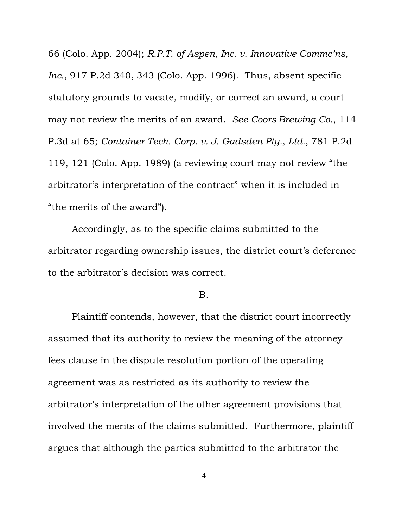66 (Colo. App. 2004); *R.P.T. of Aspen, Inc. v. Innovative Commc'ns, Inc.*, 917 P.2d 340, 343 (Colo. App. 1996). Thus, absent specific statutory grounds to vacate, modify, or correct an award, a court may not review the merits of an award. *See Coors Brewing Co.*, 114 P.3d at 65; *Container Tech. Corp. v. J. Gadsden Pty., Ltd.*, 781 P.2d 119, 121 (Colo. App. 1989) (a reviewing court may not review "the arbitrator's interpretation of the contract" when it is included in "the merits of the award").

Accordingly, as to the specific claims submitted to the arbitrator regarding ownership issues, the district court's deference to the arbitrator's decision was correct.

### B.

Plaintiff contends, however, that the district court incorrectly assumed that its authority to review the meaning of the attorney fees clause in the dispute resolution portion of the operating agreement was as restricted as its authority to review the arbitrator's interpretation of the other agreement provisions that involved the merits of the claims submitted. Furthermore, plaintiff argues that although the parties submitted to the arbitrator the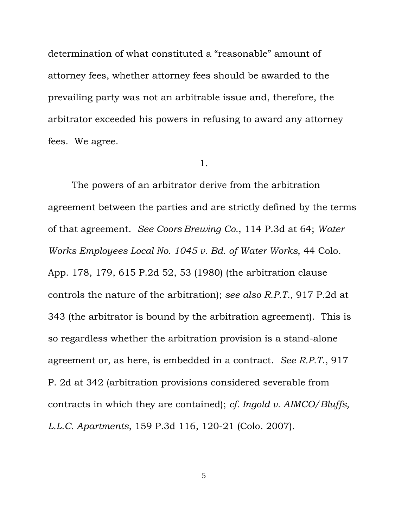determination of what constituted a "reasonable" amount of attorney fees, whether attorney fees should be awarded to the prevailing party was not an arbitrable issue and, therefore, the arbitrator exceeded his powers in refusing to award any attorney fees. We agree.

#### 1.

The powers of an arbitrator derive from the arbitration agreement between the parties and are strictly defined by the terms of that agreement. *See Coors Brewing Co.*, 114 P.3d at 64; *Water Works Employees Local No. 1045 v. Bd. of Water Works*, 44 Colo. App. 178, 179, 615 P.2d 52, 53 (1980) (the arbitration clause controls the nature of the arbitration); *see also R.P.T.*, 917 P.2d at 343 (the arbitrator is bound by the arbitration agreement). This is so regardless whether the arbitration provision is a stand-alone agreement or, as here, is embedded in a contract. *See R.P.T*., 917 P. 2d at 342 (arbitration provisions considered severable from contracts in which they are contained); *cf. Ingold v. AIMCO/Bluffs, L.L.C. Apartments*, 159 P.3d 116, 120-21 (Colo. 2007).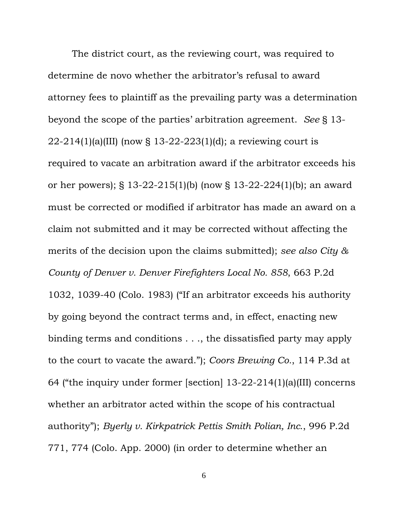The district court, as the reviewing court, was required to determine de novo whether the arbitrator's refusal to award attorney fees to plaintiff as the prevailing party was a determination beyond the scope of the parties' arbitration agreement. *See* § 13- 22-214(1)(a)(III) (now § 13-22-223(1)(d); a reviewing court is required to vacate an arbitration award if the arbitrator exceeds his or her powers); § 13-22-215(1)(b) (now § 13-22-224(1)(b); an award must be corrected or modified if arbitrator has made an award on a claim not submitted and it may be corrected without affecting the merits of the decision upon the claims submitted); *see also City & County of Denver v. Denver Firefighters Local No. 858*, 663 P.2d 1032, 1039-40 (Colo. 1983) ("If an arbitrator exceeds his authority by going beyond the contract terms and, in effect, enacting new binding terms and conditions . . ., the dissatisfied party may apply to the court to vacate the award."); *Coors Brewing Co.*, 114 P.3d at 64 ("the inquiry under former [section] 13-22-214(1)(a)(III) concerns whether an arbitrator acted within the scope of his contractual authority"); *Byerly v. Kirkpatrick Pettis Smith Polian, Inc*., 996 P.2d 771, 774 (Colo. App. 2000) (in order to determine whether an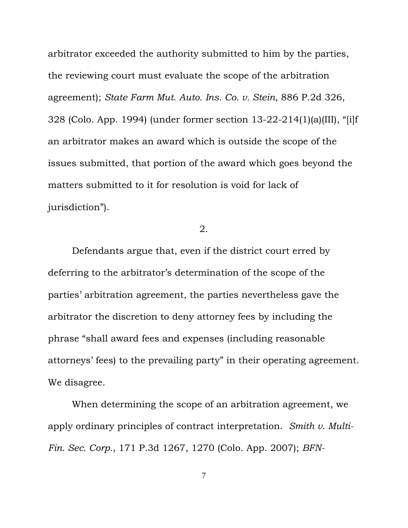arbitrator exceeded the authority submitted to him by the parties, the reviewing court must evaluate the scope of the arbitration agreement); *State Farm Mut. Auto. Ins. Co. v. Stein*, 886 P.2d 326, 328 (Colo. App. 1994) (under former section 13-22-214(1)(a)(III), "[i]f an arbitrator makes an award which is outside the scope of the issues submitted, that portion of the award which goes beyond the matters submitted to it for resolution is void for lack of jurisdiction").

# 2.

Defendants argue that, even if the district court erred by deferring to the arbitrator's determination of the scope of the parties' arbitration agreement, the parties nevertheless gave the arbitrator the discretion to deny attorney fees by including the phrase "shall award fees and expenses (including reasonable attorneys' fees) to the prevailing party" in their operating agreement. We disagree.

When determining the scope of an arbitration agreement, we apply ordinary principles of contract interpretation. *Smith v. Multi-Fin. Sec. Corp.*, 171 P.3d 1267, 1270 (Colo. App. 2007); *BFN-*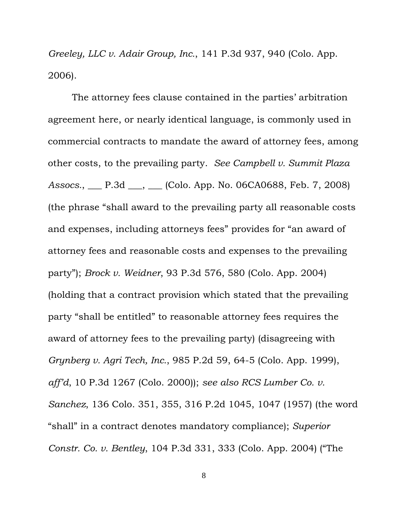*Greeley, LLC v. Adair Group, Inc.*, 141 P.3d 937, 940 (Colo. App. 2006).

The attorney fees clause contained in the parties' arbitration agreement here, or nearly identical language, is commonly used in commercial contracts to mandate the award of attorney fees, among other costs, to the prevailing party. *See Campbell v. Summit Plaza Assocs.*, \_\_\_ P.3d \_\_\_, \_\_\_ (Colo. App. No. 06CA0688, Feb. 7, 2008) (the phrase "shall award to the prevailing party all reasonable costs and expenses, including attorneys fees" provides for "an award of attorney fees and reasonable costs and expenses to the prevailing party"); *Brock v. Weidner*, 93 P.3d 576, 580 (Colo. App. 2004) (holding that a contract provision which stated that the prevailing party "shall be entitled" to reasonable attorney fees requires the award of attorney fees to the prevailing party) (disagreeing with *Grynberg v. Agri Tech, Inc.*, 985 P.2d 59, 64-5 (Colo. App. 1999), *aff'd*, 10 P.3d 1267 (Colo. 2000)); *see also RCS Lumber Co. v. Sanchez*, 136 Colo. 351, 355, 316 P.2d 1045, 1047 (1957) (the word "shall" in a contract denotes mandatory compliance); *Superior Constr. Co. v. Bentley*, 104 P.3d 331, 333 (Colo. App. 2004) ("The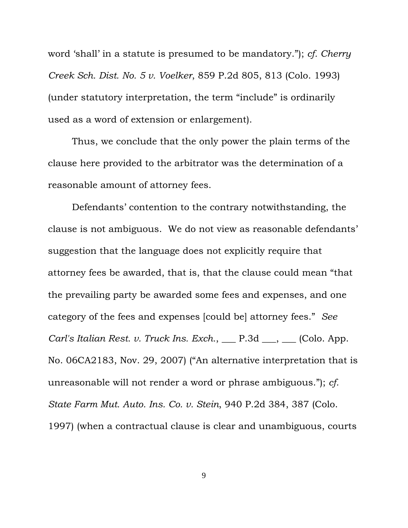word 'shall' in a statute is presumed to be mandatory."); *cf. Cherry Creek Sch. Dist. No. 5 v. Voelker*, 859 P.2d 805, 813 (Colo. 1993) (under statutory interpretation, the term "include" is ordinarily used as a word of extension or enlargement).

Thus, we conclude that the only power the plain terms of the clause here provided to the arbitrator was the determination of a reasonable amount of attorney fees.

Defendants' contention to the contrary notwithstanding, the clause is not ambiguous. We do not view as reasonable defendants' suggestion that the language does not explicitly require that attorney fees be awarded, that is, that the clause could mean "that the prevailing party be awarded some fees and expenses, and one category of the fees and expenses [could be] attorney fees." *See Carl's Italian Rest. v. Truck Ins. Exch.*, \_\_\_ P.3d \_\_\_, \_\_\_ (Colo. App. No. 06CA2183, Nov. 29, 2007) ("An alternative interpretation that is unreasonable will not render a word or phrase ambiguous."); *cf. State Farm Mut. Auto. Ins. Co. v. Stein*, 940 P.2d 384, 387 (Colo. 1997) (when a contractual clause is clear and unambiguous, courts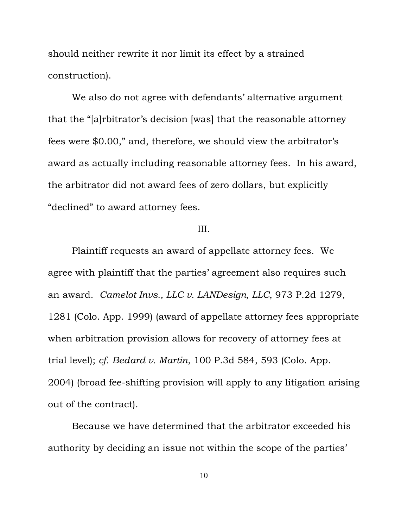should neither rewrite it nor limit its effect by a strained construction).

We also do not agree with defendants' alternative argument that the "[a]rbitrator's decision [was] that the reasonable attorney fees were \$0.00," and, therefore, we should view the arbitrator's award as actually including reasonable attorney fees. In his award, the arbitrator did not award fees of zero dollars, but explicitly "declined" to award attorney fees.

## III.

Plaintiff requests an award of appellate attorney fees. We agree with plaintiff that the parties' agreement also requires such an award. *Camelot Invs., LLC v. LANDesign, LLC*, 973 P.2d 1279, 1281 (Colo. App. 1999) (award of appellate attorney fees appropriate when arbitration provision allows for recovery of attorney fees at trial level); *cf. Bedard v. Martin*, 100 P.3d 584, 593 (Colo. App. 2004) (broad fee-shifting provision will apply to any litigation arising out of the contract).

Because we have determined that the arbitrator exceeded his authority by deciding an issue not within the scope of the parties'